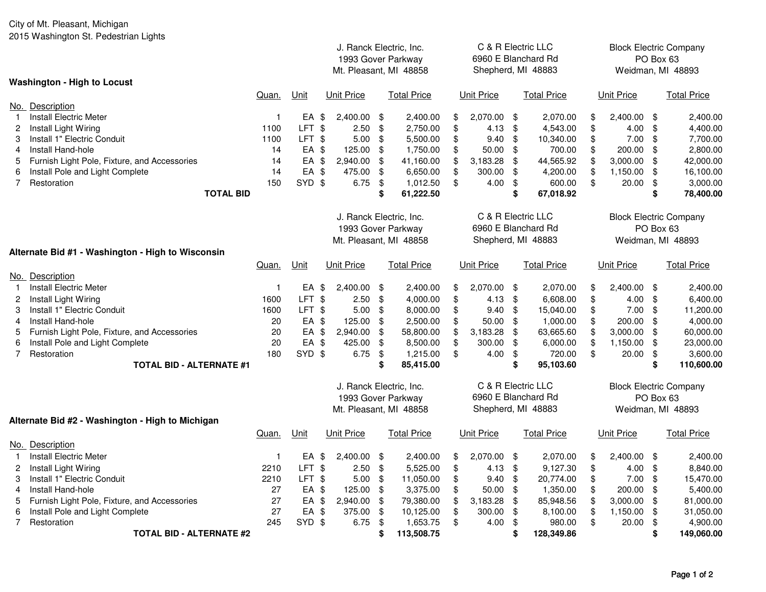## City of Mt. Pleasant, Michigan

2015 Washington St. Pedestrian Lights

|                                              |                                                                         |              |                 | J. Ranck Electric, Inc.<br>1993 Gover Parkway<br>Mt. Pleasant, MI 48858 |                         |                         | C & R Electric LLC<br>6960 E Blanchard Rd<br>Shepherd, MI 48883 |                     |                   |                    |                     | <b>Block Electric Company</b><br>PO Box 63<br>Weidman, MI 48893 |                               |                         |                       |  |  |  |
|----------------------------------------------|-------------------------------------------------------------------------|--------------|-----------------|-------------------------------------------------------------------------|-------------------------|-------------------------|-----------------------------------------------------------------|---------------------|-------------------|--------------------|---------------------|-----------------------------------------------------------------|-------------------------------|-------------------------|-----------------------|--|--|--|
|                                              | <b>Washington - High to Locust</b>                                      |              |                 |                                                                         |                         |                         |                                                                 |                     |                   |                    |                     |                                                                 |                               |                         |                       |  |  |  |
|                                              |                                                                         | Quan.        | Unit            |                                                                         | <b>Unit Price</b>       |                         | <b>Total Price</b>                                              |                     | <b>Unit Price</b> |                    | <b>Total Price</b>  |                                                                 | <b>Unit Price</b>             |                         | <b>Total Price</b>    |  |  |  |
|                                              | No. Description                                                         |              |                 |                                                                         |                         |                         |                                                                 |                     |                   |                    |                     |                                                                 |                               |                         |                       |  |  |  |
| $\mathbf{1}$                                 | <b>Install Electric Meter</b>                                           | $\mathbf{1}$ | EA \$           |                                                                         | 2,400.00 \$             |                         | 2,400.00                                                        | \$                  | 2,070.00 \$       |                    | 2,070.00            | \$                                                              | 2,400.00                      | \$                      | 2,400.00              |  |  |  |
| $\mathbf{2}$                                 | Install Light Wiring                                                    | 1100         | LFT \$          |                                                                         | 2.50                    | $\sqrt[6]{\frac{1}{2}}$ | 2,750.00                                                        | \$                  | 4.13              | \$                 | 4,543.00            | \$                                                              | 4.00                          | \$                      | 4,400.00              |  |  |  |
| 3                                            | Install 1" Electric Conduit                                             | 1100         | LFT \$          |                                                                         | 5.00                    | \$                      | 5,500.00                                                        | \$                  | $9.40$ \$         |                    | 10,340.00           | \$                                                              | 7.00                          | \$                      | 7,700.00              |  |  |  |
| 4                                            | Install Hand-hole                                                       | 14           | EA \$           |                                                                         | 125.00 \$               |                         | 1,750.00                                                        | \$                  | $50.00$ \$        |                    | 700.00              | \$                                                              | 200.00                        | \$                      | 2,800.00              |  |  |  |
| 5                                            | Furnish Light Pole, Fixture, and Accessories                            | 14           | EA \$           |                                                                         | 2,940.00                | \$                      | 41,160.00                                                       | \$                  | $3,183.28$ \$     |                    | 44,565.92           | \$                                                              | 3,000.00                      | \$                      | 42,000.00             |  |  |  |
| 6                                            | Install Pole and Light Complete                                         | 14           | EA \$<br>SYD \$ |                                                                         | 475.00<br>6.75 $$$      | $\sqrt[6]{\frac{1}{2}}$ | 6,650.00                                                        | \$                  | 300.00 \$         |                    | 4,200.00            | \$                                                              | 1,150.00                      | \$                      | 16,100.00             |  |  |  |
| $7^{\circ}$                                  | Restoration<br><b>TOTAL BID</b>                                         | 150          |                 |                                                                         |                         | \$                      | 1,012.50<br>61,222.50                                           | \$                  | $4.00$ \$         | \$                 | 600.00<br>67,018.92 | \$                                                              | 20.00                         | \$<br>\$                | 3,000.00<br>78,400.00 |  |  |  |
|                                              |                                                                         |              |                 |                                                                         |                         |                         |                                                                 |                     |                   |                    |                     |                                                                 |                               |                         |                       |  |  |  |
|                                              |                                                                         |              |                 |                                                                         | J. Ranck Electric, Inc. |                         |                                                                 |                     |                   | C & R Electric LLC |                     |                                                                 | <b>Block Electric Company</b> |                         |                       |  |  |  |
|                                              |                                                                         |              |                 | 1993 Gover Parkway                                                      |                         |                         |                                                                 | 6960 E Blanchard Rd |                   |                    |                     |                                                                 | PO Box 63                     |                         |                       |  |  |  |
|                                              |                                                                         |              |                 | Mt. Pleasant, MI 48858                                                  |                         |                         |                                                                 |                     |                   |                    |                     | Weidman, MI 48893                                               |                               |                         |                       |  |  |  |
|                                              | Shepherd, MI 48883<br>Alternate Bid #1 - Washington - High to Wisconsin |              |                 |                                                                         |                         |                         |                                                                 |                     |                   |                    |                     |                                                                 |                               |                         |                       |  |  |  |
|                                              |                                                                         | Quan.        | <u>Unit</u>     |                                                                         | <b>Unit Price</b>       |                         | <b>Total Price</b>                                              |                     | <b>Unit Price</b> |                    | <b>Total Price</b>  |                                                                 | <b>Unit Price</b>             |                         | <b>Total Price</b>    |  |  |  |
|                                              | No. Description                                                         |              |                 |                                                                         |                         |                         |                                                                 |                     |                   |                    |                     |                                                                 |                               |                         |                       |  |  |  |
| $\mathbf{1}$                                 | <b>Install Electric Meter</b>                                           | $\mathbf{1}$ | EA \$           |                                                                         | 2,400.00 \$             |                         | 2,400.00                                                        | \$                  | 2,070.00 \$       |                    | 2,070.00            | \$                                                              | 2,400.00                      | \$                      | 2,400.00              |  |  |  |
| 2                                            | Install Light Wiring                                                    | 1600         | LFT \$          |                                                                         | 2.50                    | $\sqrt[6]{\frac{1}{2}}$ | 4,000.00                                                        | \$                  | 4.13 $$$          |                    | 6,608.00            | \$                                                              | 4.00                          | $\sqrt[6]{\frac{1}{2}}$ | 6,400.00              |  |  |  |
| 3                                            | Install 1" Electric Conduit                                             | 1600         | LFT \$          |                                                                         | $5.00$ \$               |                         | 8,000.00                                                        | \$                  | $9.40 \text{ } $$ |                    | 15,040.00           | \$                                                              | 7.00                          | \$                      | 11,200.00             |  |  |  |
| 4                                            | Install Hand-hole                                                       | 20           | EA \$           |                                                                         | 125.00                  | \$                      | 2,500.00                                                        | \$                  | 50.00 \$          |                    | 1,000.00            | \$                                                              | 200.00                        | \$                      | 4,000.00              |  |  |  |
| 5                                            | Furnish Light Pole, Fixture, and Accessories                            | 20           | $EA$ \$         |                                                                         | 2,940.00                | \$                      | 58,800.00                                                       | \$                  | 3,183.28          | - \$               | 63,665.60           | \$                                                              | 3,000.00                      | \$                      | 60,000.00             |  |  |  |
| 6                                            | Install Pole and Light Complete                                         | 20           | EA \$           |                                                                         | 425.00                  | \$                      | 8,500.00                                                        | \$                  | 300.00 \$         |                    | 6,000.00            | \$                                                              | 1,150.00                      | \$                      | 23,000.00             |  |  |  |
| $\overline{7}$                               | Restoration                                                             | 180          | SYD \$          |                                                                         | 6.75                    | $\sqrt{3}$              | 1,215.00                                                        | \$                  | 4.00              | \$                 | 720.00              | \$                                                              | 20.00                         | \$                      | 3,600.00              |  |  |  |
|                                              | <b>TOTAL BID - ALTERNATE #1</b>                                         |              |                 |                                                                         |                         | \$                      | 85,415.00                                                       |                     |                   | \$                 | 95,103.60           |                                                                 |                               | \$                      | 110,600.00            |  |  |  |
|                                              |                                                                         |              |                 |                                                                         |                         |                         |                                                                 |                     |                   |                    |                     |                                                                 |                               |                         |                       |  |  |  |
|                                              |                                                                         |              |                 |                                                                         | J. Ranck Electric, Inc. |                         |                                                                 | C & R Electric LLC  |                   |                    |                     |                                                                 | <b>Block Electric Company</b> |                         |                       |  |  |  |
|                                              |                                                                         |              |                 | 1993 Gover Parkway                                                      |                         |                         |                                                                 | 6960 E Blanchard Rd |                   |                    |                     | PO Box 63                                                       |                               |                         |                       |  |  |  |
| Shepherd, MI 48883<br>Mt. Pleasant, MI 48858 |                                                                         |              |                 |                                                                         |                         |                         |                                                                 |                     |                   |                    | Weidman, MI 48893   |                                                                 |                               |                         |                       |  |  |  |
|                                              | Alternate Bid #2 - Washington - High to Michigan                        |              |                 |                                                                         |                         |                         |                                                                 |                     |                   |                    |                     |                                                                 |                               |                         |                       |  |  |  |
|                                              |                                                                         | Quan.        | Unit            |                                                                         | <b>Unit Price</b>       |                         | <b>Total Price</b>                                              |                     | <b>Unit Price</b> |                    | <b>Total Price</b>  |                                                                 | Unit Price                    |                         | <b>Total Price</b>    |  |  |  |
|                                              | No. Description                                                         |              |                 |                                                                         |                         |                         |                                                                 |                     |                   |                    |                     |                                                                 |                               |                         |                       |  |  |  |
| $\mathbf{1}$                                 | <b>Install Electric Meter</b>                                           | $\mathbf{1}$ | EA \$           |                                                                         | 2,400.00 \$             |                         | 2,400.00                                                        | \$                  | 2,070.00 \$       |                    | 2,070.00            | \$                                                              | 2,400.00                      | \$                      | 2,400.00              |  |  |  |
| 2                                            | Install Light Wiring                                                    | 2210         | LFT \$          |                                                                         | 2.50                    | $\frac{1}{2}$           | 5,525.00                                                        | \$                  | 4.13              | \$                 | 9,127.30            | \$                                                              | 4.00                          | \$                      | 8,840.00              |  |  |  |
| 3                                            | Install 1" Electric Conduit                                             | 2210         | LFT \$          |                                                                         | $5.00$ \$               |                         | 11,050.00                                                       | \$                  | 9.40              | $\frac{1}{2}$      | 20,774.00           | \$                                                              | 7.00                          | \$                      | 15,470.00             |  |  |  |
| 4                                            | Install Hand-hole                                                       | 27           | EA \$           |                                                                         | 125.00 \$               |                         | 3,375.00                                                        | \$                  | $50.00$ \$        |                    | 1,350.00            | \$                                                              | 200.00                        | \$                      | 5,400.00              |  |  |  |
| 5                                            | Furnish Light Pole, Fixture, and Accessories                            | 27           | EA \$           |                                                                         | 2,940.00                | $\frac{1}{2}$           | 79,380.00                                                       | \$                  | 3,183.28          | \$                 | 85,948.56           | \$                                                              | 3,000.00                      | \$                      | 81,000.00             |  |  |  |
| 6<br>$\overline{7}$                          | Install Pole and Light Complete                                         | 27           | EA \$<br>SYD \$ |                                                                         | 375.00 \$               |                         | 10,125.00                                                       | \$                  | 300.00 \$         |                    | 8,100.00            | \$                                                              | 1,150.00                      | \$                      | 31,050.00             |  |  |  |
|                                              | Restoration                                                             | 245          |                 |                                                                         | 6.75                    | \$                      | 1,653.75                                                        | \$                  | 4.00              | $\frac{1}{2}$      | 980.00              | \$                                                              | 20.00                         | \$                      | 4,900.00              |  |  |  |
|                                              | <b>TOTAL BID - ALTERNATE #2</b>                                         |              |                 |                                                                         |                         | S                       | 113,508.75                                                      |                     |                   | \$                 | 128,349.86          |                                                                 |                               | \$                      | 149,060.00            |  |  |  |